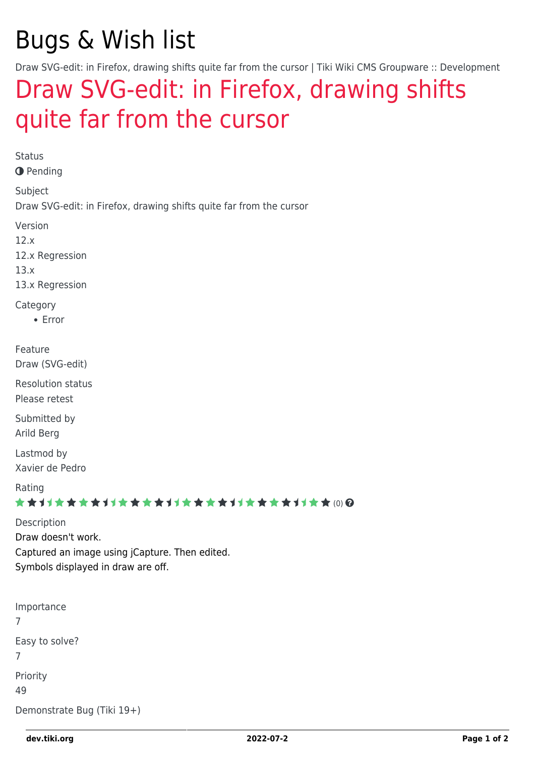# Bugs & Wish list

Draw SVG-edit: in Firefox, drawing shifts quite far from the cursor | Tiki Wiki CMS Groupware :: Development

# [Draw SVG-edit: in Firefox, drawing shifts](https://dev.tiki.org/item4764-Draw-SVG-edit-in-Firefox-drawing-shifts-quite-far-from-the-cursor) [quite far from the cursor](https://dev.tiki.org/item4764-Draw-SVG-edit-in-Firefox-drawing-shifts-quite-far-from-the-cursor)

Status **O** Pending Subject Draw SVG-edit: in Firefox, drawing shifts quite far from the cursor Version 12.x 12.x Regression 13.x 13.x Regression **Category** Error Feature Draw (SVG-edit) Resolution status Please retest Submitted by Arild Berg Lastmod by Xavier de Pedro Rating ★★11★★★★11★★★★11★★★★11★★★★+11★★ (0) @ Description Draw doesn't work. Captured an image using jCapture. Then edited. Symbols displayed in draw are off. Importance 7 Easy to solve? 7 Priority 49

Demonstrate Bug (Tiki 19+)